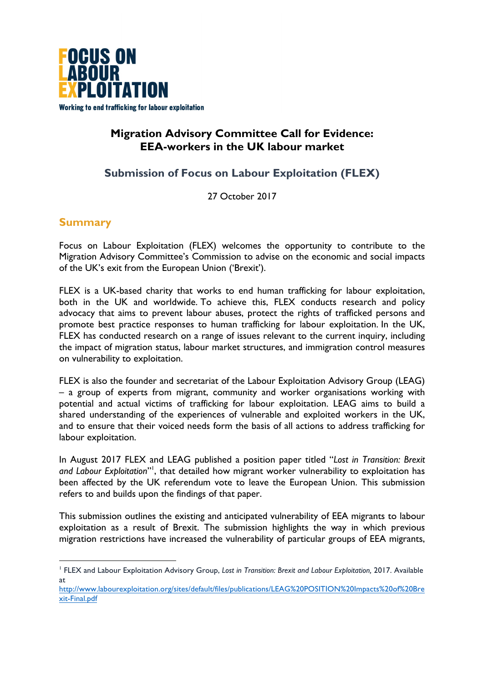

# **Migration Advisory Committee Call for Evidence: EEA-workers in the UK labour market**

# **Submission of Focus on Labour Exploitation (FLEX)**

27 October 2017

# **Summary**

 

Focus on Labour Exploitation (FLEX) welcomes the opportunity to contribute to the Migration Advisory Committee's Commission to advise on the economic and social impacts of the UK's exit from the European Union ('Brexit').

FLEX is a UK-based charity that works to end human trafficking for labour exploitation, both in the UK and worldwide. To achieve this, FLEX conducts research and policy advocacy that aims to prevent labour abuses, protect the rights of trafficked persons and promote best practice responses to human trafficking for labour exploitation. In the UK, FLEX has conducted research on a range of issues relevant to the current inquiry, including the impact of migration status, labour market structures, and immigration control measures on vulnerability to exploitation.

FLEX is also the founder and secretariat of the Labour Exploitation Advisory Group (LEAG) – a group of experts from migrant, community and worker organisations working with potential and actual victims of trafficking for labour exploitation. LEAG aims to build a shared understanding of the experiences of vulnerable and exploited workers in the UK, and to ensure that their voiced needs form the basis of all actions to address trafficking for labour exploitation.

In August 2017 FLEX and LEAG published a position paper titled "*Lost in Transition: Brexit*  and Labour Exploitation"<sup>1</sup>, that detailed how migrant worker vulnerability to exploitation has been affected by the UK referendum vote to leave the European Union. This submission refers to and builds upon the findings of that paper.

This submission outlines the existing and anticipated vulnerability of EEA migrants to labour exploitation as a result of Brexit. The submission highlights the way in which previous migration restrictions have increased the vulnerability of particular groups of EEA migrants,

<sup>1</sup> FLEX and Labour Exploitation Advisory Group, *Lost in Transition: Brexit and Labour Exploitation,* 2017. Available at

http://www.labourexploitation.org/sites/default/files/publications/LEAG%20POSITION%20Impacts%20of%20Bre xit-Final.pdf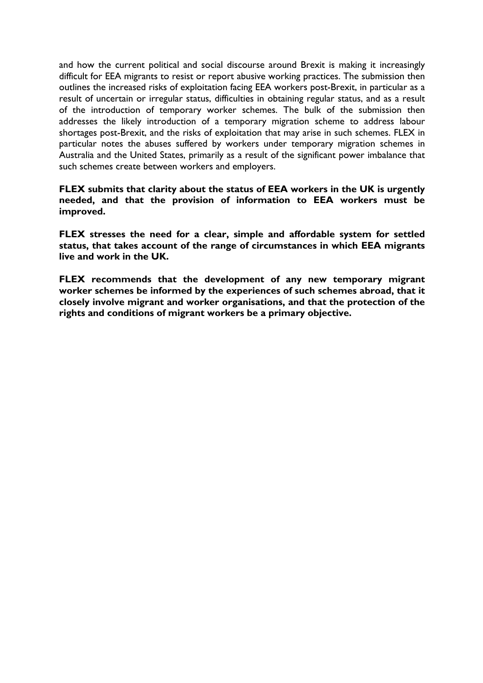and how the current political and social discourse around Brexit is making it increasingly difficult for EEA migrants to resist or report abusive working practices. The submission then outlines the increased risks of exploitation facing EEA workers post-Brexit, in particular as a result of uncertain or irregular status, difficulties in obtaining regular status, and as a result of the introduction of temporary worker schemes. The bulk of the submission then addresses the likely introduction of a temporary migration scheme to address labour shortages post-Brexit, and the risks of exploitation that may arise in such schemes. FLEX in particular notes the abuses suffered by workers under temporary migration schemes in Australia and the United States, primarily as a result of the significant power imbalance that such schemes create between workers and employers.

**FLEX submits that clarity about the status of EEA workers in the UK is urgently needed, and that the provision of information to EEA workers must be improved.** 

**FLEX stresses the need for a clear, simple and affordable system for settled status, that takes account of the range of circumstances in which EEA migrants live and work in the UK.**

**FLEX recommends that the development of any new temporary migrant worker schemes be informed by the experiences of such schemes abroad, that it closely involve migrant and worker organisations, and that the protection of the rights and conditions of migrant workers be a primary objective.**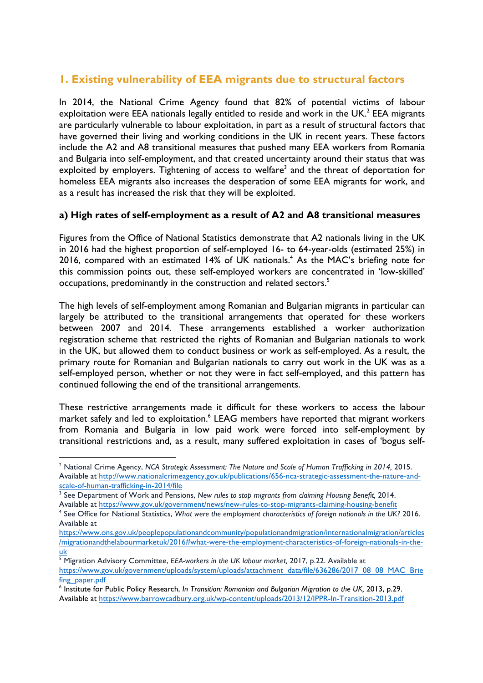# **1. Existing vulnerability of EEA migrants due to structural factors**

In 2014, the National Crime Agency found that 82% of potential victims of labour exploitation were EEA nationals legally entitled to reside and work in the UK. $<sup>2</sup>$  EEA migrants</sup> are particularly vulnerable to labour exploitation, in part as a result of structural factors that have governed their living and working conditions in the UK in recent years. These factors include the A2 and A8 transitional measures that pushed many EEA workers from Romania and Bulgaria into self-employment, and that created uncertainty around their status that was exploited by employers. Tightening of access to welfare<sup>3</sup> and the threat of deportation for homeless EEA migrants also increases the desperation of some EEA migrants for work, and as a result has increased the risk that they will be exploited.

### **a) High rates of self-employment as a result of A2 and A8 transitional measures**

Figures from the Office of National Statistics demonstrate that A2 nationals living in the UK in 2016 had the highest proportion of self-employed 16- to 64-year-olds (estimated 25%) in 2016, compared with an estimated 14% of UK nationals.<sup>4</sup> As the MAC's briefing note for this commission points out, these self-employed workers are concentrated in 'low-skilled' occupations, predominantly in the construction and related sectors.<sup>5</sup>

The high levels of self-employment among Romanian and Bulgarian migrants in particular can largely be attributed to the transitional arrangements that operated for these workers between 2007 and 2014. These arrangements established a worker authorization registration scheme that restricted the rights of Romanian and Bulgarian nationals to work in the UK, but allowed them to conduct business or work as self-employed. As a result, the primary route for Romanian and Bulgarian nationals to carry out work in the UK was as a self-employed person, whether or not they were in fact self-employed, and this pattern has continued following the end of the transitional arrangements.

These restrictive arrangements made it difficult for these workers to access the labour market safely and led to exploitation.<sup>6</sup> LEAG members have reported that migrant workers from Romania and Bulgaria in low paid work were forced into self-employment by transitional restrictions and, as a result, many suffered exploitation in cases of 'bogus self-

<sup>&</sup>lt;sup>2</sup> National Crime Agency, *NCA Strategic Assessment: The Nature and Scale of Human Trafficking in 2014, 2015.* Available at http://www.nationalcrimeagency.gov.uk/publications/656-nca-strategic-assessment-the-nature-andscale-of-human-trafficking-in-2014/file

<sup>3</sup> See Department of Work and Pensions, *New rules to stop migrants from claiming Housing Benefit,* 2014. Available at https://www.gov.uk/government/news/new-rules-to-stop-migrants-claiming-housing-benefit

<sup>4</sup> See Office for National Statistics, *What were the employment characteristics of foreign nationals in the UK?* 2016. Available at

https://www.ons.gov.uk/peoplepopulationandcommunity/populationandmigration/internationalmigration/articles /migrationandthelabourmarketuk/2016#what-were-the-employment-characteristics-of-foreign-nationals-in-theuk

<sup>5</sup> Migration Advisory Committee, *EEA-workers in the UK labour market,* 2017, p.22. Available at https://www.gov.uk/government/uploads/system/uploads/attachment\_data/file/636286/2017\_08\_08\_MAC\_Brie fing\_paper.pdf

<sup>6</sup> Institute for Public Policy Research, *In Transition: Romanian and Bulgarian Migration to the UK,* 2013, p.29. Available at https://www.barrowcadbury.org.uk/wp-content/uploads/2013/12/IPPR-In-Transition-2013.pdf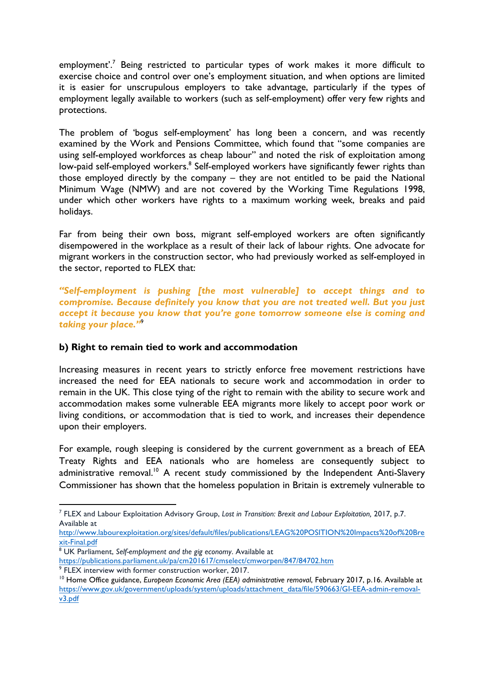employment'.<sup>7</sup> Being restricted to particular types of work makes it more difficult to exercise choice and control over one's employment situation, and when options are limited it is easier for unscrupulous employers to take advantage, particularly if the types of employment legally available to workers (such as self-employment) offer very few rights and protections.

The problem of 'bogus self-employment' has long been a concern, and was recently examined by the Work and Pensions Committee, which found that "some companies are using self-employed workforces as cheap labour" and noted the risk of exploitation among low-paid self-employed workers.<sup>8</sup> Self-employed workers have significantly fewer rights than those employed directly by the company – they are not entitled to be paid the National Minimum Wage (NMW) and are not covered by the Working Time Regulations 1998, under which other workers have rights to a maximum working week, breaks and paid holidays.

Far from being their own boss, migrant self-employed workers are often significantly disempowered in the workplace as a result of their lack of labour rights. One advocate for migrant workers in the construction sector, who had previously worked as self-employed in the sector, reported to FLEX that:

*"Self-employment is pushing [the most vulnerable] to accept things and to compromise. Because definitely you know that you are not treated well. But you just accept it because you know that you're gone tomorrow someone else is coming and taking your place."*<sup>9</sup>

#### **b) Right to remain tied to work and accommodation**

Increasing measures in recent years to strictly enforce free movement restrictions have increased the need for EEA nationals to secure work and accommodation in order to remain in the UK. This close tying of the right to remain with the ability to secure work and accommodation makes some vulnerable EEA migrants more likely to accept poor work or living conditions, or accommodation that is tied to work, and increases their dependence upon their employers.

For example, rough sleeping is considered by the current government as a breach of EEA Treaty Rights and EEA nationals who are homeless are consequently subject to administrative removal.<sup>10</sup> A recent study commissioned by the Independent Anti-Slavery Commissioner has shown that the homeless population in Britain is extremely vulnerable to

http://www.labourexploitation.org/sites/default/files/publications/LEAG%20POSITION%20Impacts%20of%20Bre xit-Final.pdf

<sup>7</sup> FLEX and Labour Exploitation Advisory Group, *Lost in Transition: Brexit and Labour Exploitation,* 2017, p.7. Available at

<sup>8</sup> UK Parliament, *Self-employment and the gig economy*. Available at

https://publications.parliament.uk/pa/cm201617/cmselect/cmworpen/847/84702.htm

<sup>9</sup> FLEX interview with former construction worker, 2017.

<sup>&</sup>lt;sup>10</sup> Home Office guidance, *European Economic Area (EEA) administrative removal*, February 2017, p.16. Available at https://www.gov.uk/government/uploads/system/uploads/attachment\_data/file/590663/GI-EEA-admin-removalv3.pdf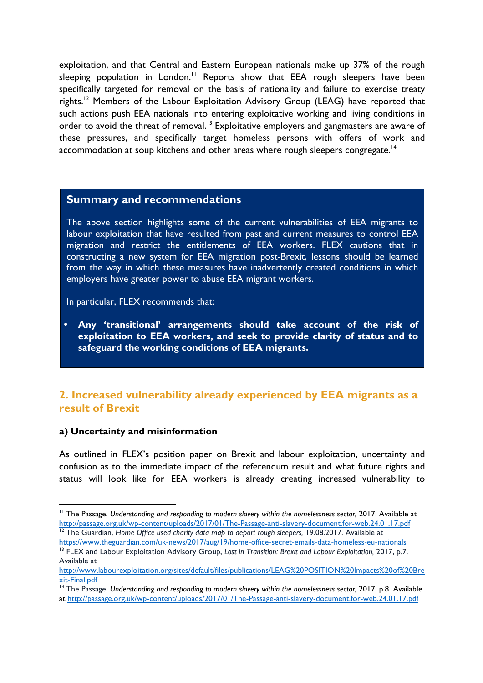exploitation, and that Central and Eastern European nationals make up 37% of the rough sleeping population in London.<sup>11</sup> Reports show that EEA rough sleepers have been specifically targeted for removal on the basis of nationality and failure to exercise treaty rights.<sup>12</sup> Members of the Labour Exploitation Advisory Group (LEAG) have reported that such actions push EEA nationals into entering exploitative working and living conditions in order to avoid the threat of removal.<sup>13</sup> Exploitative employers and gangmasters are aware of these pressures, and specifically target homeless persons with offers of work and accommodation at soup kitchens and other areas where rough sleepers congregate.<sup>14</sup>

#### **Summary and recommendations**

The above section highlights some of the current vulnerabilities of EEA migrants to labour exploitation that have resulted from past and current measures to control EEA migration and restrict the entitlements of EEA workers. FLEX cautions that in constructing a new system for EEA migration post-Brexit, lessons should be learned from the way in which these measures have inadvertently created conditions in which employers have greater power to abuse EEA migrant workers.

In particular, FLEX recommends that:

• **Any 'transitional' arrangements should take account of the risk of exploitation to EEA workers, and seek to provide clarity of status and to safeguard the working conditions of EEA migrants.**

## **2. Increased vulnerability already experienced by EEA migrants as a result of Brexit**

#### **a) Uncertainty and misinformation**

 

As outlined in FLEX's position paper on Brexit and labour exploitation, uncertainty and confusion as to the immediate impact of the referendum result and what future rights and status will look like for EEA workers is already creating increased vulnerability to

<sup>&</sup>lt;sup>11</sup> The Passage, Understanding and responding to modern slavery within the homelessness sector, 2017. Available at http://passage.org.uk/wp-content/uploads/2017/01/The-Passage-anti-slavery-document.for-web.24.01.17.pdf <sup>12</sup> The Guardian, *Home Office used charity data map to deport rough sleepers, 19.08.2017. Available at* 

https://www.theguardian.com/uk-news/2017/aug/19/home-office-secret-emails-data-homeless-eu-nationals <sup>13</sup> FLEX and Labour Exploitation Advisory Group, Lost in Transition: Brexit and Labour Exploitation, 2017, p.7.

Available at http://www.labourexploitation.org/sites/default/files/publications/LEAG%20POSITION%20Impacts%20of%20Bre xit-Final.pdf

<sup>&</sup>lt;sup>14</sup> The Passage, Understanding and responding to modern slavery within the homelessness sector, 2017, p.8. Available at http://passage.org.uk/wp-content/uploads/2017/01/The-Passage-anti-slavery-document.for-web.24.01.17.pdf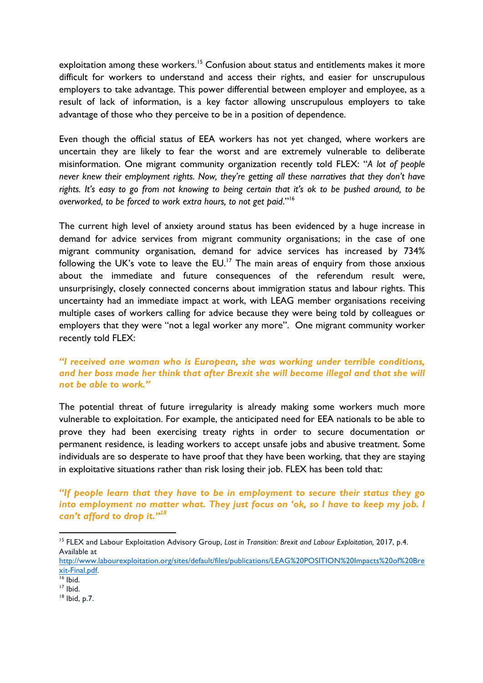exploitation among these workers.<sup>15</sup> Confusion about status and entitlements makes it more difficult for workers to understand and access their rights, and easier for unscrupulous employers to take advantage. This power differential between employer and employee, as a result of lack of information, is a key factor allowing unscrupulous employers to take advantage of those who they perceive to be in a position of dependence.

Even though the official status of EEA workers has not yet changed, where workers are uncertain they are likely to fear the worst and are extremely vulnerable to deliberate misinformation. One migrant community organization recently told FLEX: "*A lot of people never knew their employment rights. Now, they're getting all these narratives that they don't have rights. It's easy to go from not knowing to being certain that it's ok to be pushed around, to be overworked, to be forced to work extra hours, to not get paid*."16

The current high level of anxiety around status has been evidenced by a huge increase in demand for advice services from migrant community organisations; in the case of one migrant community organisation, demand for advice services has increased by 734% following the UK's vote to leave the EU.<sup>17</sup> The main areas of enquiry from those anxious about the immediate and future consequences of the referendum result were, unsurprisingly, closely connected concerns about immigration status and labour rights. This uncertainty had an immediate impact at work, with LEAG member organisations receiving multiple cases of workers calling for advice because they were being told by colleagues or employers that they were "not a legal worker any more". One migrant community worker recently told FLEX:

#### *"I received one woman who is European, she was working under terrible conditions, and her boss made her think that after Brexit she will become illegal and that she will not be able to work."*

The potential threat of future irregularity is already making some workers much more vulnerable to exploitation. For example, the anticipated need for EEA nationals to be able to prove they had been exercising treaty rights in order to secure documentation or permanent residence, is leading workers to accept unsafe jobs and abusive treatment. Some individuals are so desperate to have proof that they have been working, that they are staying in exploitative situations rather than risk losing their job. FLEX has been told that:

*"If people learn that they have to be in employment to secure their status they go into employment no matter what. They just focus on 'ok, so I have to keep my job. I can't afford to drop it."<sup>18</sup>*

<sup>18</sup> Ibid, p.7.

<sup>15</sup> FLEX and Labour Exploitation Advisory Group, *Lost in Transition: Brexit and Labour Exploitation,* 2017, p.4. Available at

http://www.labourexploitation.org/sites/default/files/publications/LEAG%20POSITION%20Impacts%20of%20Bre xit-Final.pdf.

<sup>16</sup> Ibid.

<sup>17</sup> Ibid.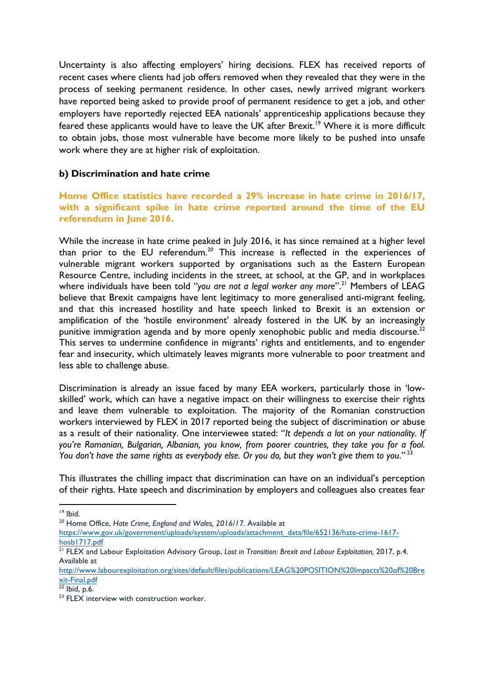Uncertainty is also affecting employers' hiring decisions. FLEX has received reports of recent cases where clients had job offers removed when they revealed that they were in the process of seeking permanent residence. In other cases, newly arrived migrant workers have reported being asked to provide proof of permanent residence to get a job, and other employers have reportedly rejected EEA nationals' apprenticeship applications because they feared these applicants would have to leave the UK after Brexit.<sup>19</sup> Where it is more difficult to obtain jobs, those most vulnerable have become more likely to be pushed into unsafe work where they are at higher risk of exploitation.

#### **b) Discrimination and hate crime**

#### **Home Office statistics have recorded a 29% increase in hate crime in 2016/17, with a significant spike in hate crime reported around the time of the EU referendum in June 2016.**

While the increase in hate crime peaked in July 2016, it has since remained at a higher level than prior to the EU referendum.<sup>20</sup> This increase is reflected in the experiences of vulnerable migrant workers supported by organisations such as the Eastern European Resource Centre, including incidents in the street, at school, at the GP, and in workplaces where individuals have been told "you are not a legal worker any more".<sup>21</sup> Members of LEAG believe that Brexit campaigns have lent legitimacy to more generalised anti-migrant feeling, and that this increased hostility and hate speech linked to Brexit is an extension or amplification of the 'hostile environment' already fostered in the UK by an increasingly punitive immigration agenda and by more openly xenophobic public and media discourse.<sup>22</sup> This serves to undermine confidence in migrants' rights and entitlements, and to engender fear and insecurity, which ultimately leaves migrants more vulnerable to poor treatment and less able to challenge abuse.

Discrimination is already an issue faced by many EEA workers, particularly those in 'lowskilled' work, which can have a negative impact on their willingness to exercise their rights and leave them vulnerable to exploitation. The majority of the Romanian construction workers interviewed by FLEX in 2017 reported being the subject of discrimination or abuse as a result of their nationality. One interviewee stated: "*It depends a lot on your nationality. If you're Romanian, Bulgarian, Albanian, you know, from poorer countries, they take you for a fool. You don't have the same rights as everybody else. Or you do, but they won't give them to you*." <sup>23</sup>

This illustrates the chilling impact that discrimination can have on an individual's perception of their rights. Hate speech and discrimination by employers and colleagues also creates fear

<sup>20</sup> Home Office, *Hate Crime, England and Wales, 2016/17.* Available at

https://www.gov.uk/government/uploads/system/uploads/attachment\_data/file/652136/hate-crime-1617 hosb1717.pdf

 <sup>19</sup> Ibid.

<sup>&</sup>lt;sup>21</sup> FLEX and Labour Exploitation Advisory Group, Lost in Transition: Brexit and Labour Exploitation, 2017, p.4. Available at

http://www.labourexploitation.org/sites/default/files/publications/LEAG%20POSITION%20Impacts%20of%20Bre xit-Final.pdf

 $\overline{22}$  Ibid, p.6.

<sup>&</sup>lt;sup>23</sup> FLEX interview with construction worker.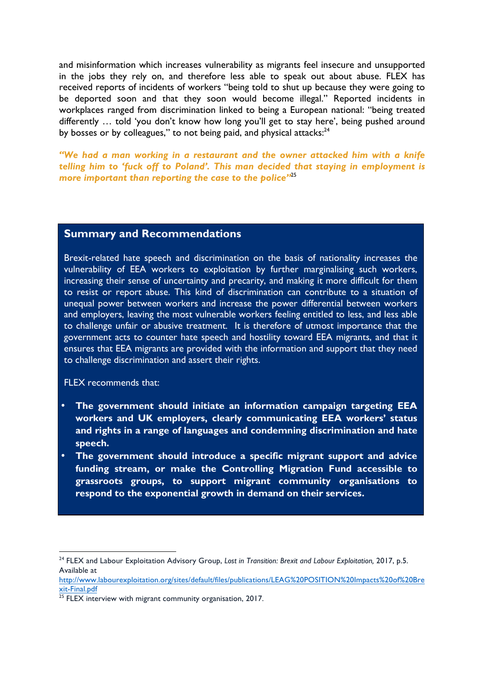and misinformation which increases vulnerability as migrants feel insecure and unsupported in the jobs they rely on, and therefore less able to speak out about abuse. FLEX has received reports of incidents of workers "being told to shut up because they were going to be deported soon and that they soon would become illegal." Reported incidents in workplaces ranged from discrimination linked to being a European national: "being treated differently … told 'you don't know how long you'll get to stay here', being pushed around by bosses or by colleagues," to not being paid, and physical attacks:<sup>24</sup>

*"We had a man working in a restaurant and the owner attacked him with a knife telling him to 'fuck off to Poland'. This man decided that staying in employment is more important than reporting the case to the police"*<sup>25</sup>

### **Summary and Recommendations**

Brexit-related hate speech and discrimination on the basis of nationality increases the vulnerability of EEA workers to exploitation by further marginalising such workers, increasing their sense of uncertainty and precarity, and making it more difficult for them to resist or report abuse. This kind of discrimination can contribute to a situation of unequal power between workers and increase the power differential between workers and employers, leaving the most vulnerable workers feeling entitled to less, and less able to challenge unfair or abusive treatment. It is therefore of utmost importance that the government acts to counter hate speech and hostility toward EEA migrants, and that it ensures that EEA migrants are provided with the information and support that they need to challenge discrimination and assert their rights.

FLEX recommends that:

- **The government should initiate an information campaign targeting EEA workers and UK employers, clearly communicating EEA workers' status and rights in a range of languages and condemning discrimination and hate speech.**
- **The government should introduce a specific migrant support and advice funding stream, or make the Controlling Migration Fund accessible to grassroots groups, to support migrant community organisations to respond to the exponential growth in demand on their services.**

<sup>&</sup>lt;sup>24</sup> FLEX and Labour Exploitation Advisory Group, Lost in Transition: Brexit and Labour Exploitation, 2017, p.5. Available at

http://www.labourexploitation.org/sites/default/files/publications/LEAG%20POSITION%20Impacts%20of%20Bre xit-Final.pdf

<sup>&</sup>lt;sup>25</sup> FLEX interview with migrant community organisation, 2017.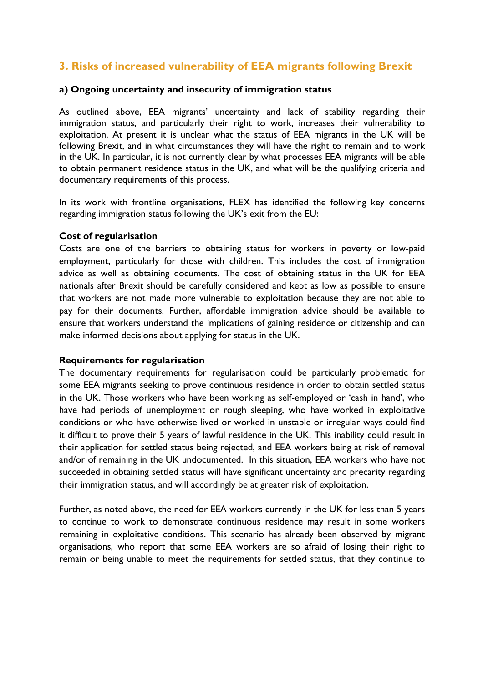# **3. Risks of increased vulnerability of EEA migrants following Brexit**

#### **a) Ongoing uncertainty and insecurity of immigration status**

As outlined above, EEA migrants' uncertainty and lack of stability regarding their immigration status, and particularly their right to work, increases their vulnerability to exploitation. At present it is unclear what the status of EEA migrants in the UK will be following Brexit, and in what circumstances they will have the right to remain and to work in the UK. In particular, it is not currently clear by what processes EEA migrants will be able to obtain permanent residence status in the UK, and what will be the qualifying criteria and documentary requirements of this process.

In its work with frontline organisations, FLEX has identified the following key concerns regarding immigration status following the UK's exit from the EU:

#### **Cost of regularisation**

Costs are one of the barriers to obtaining status for workers in poverty or low-paid employment, particularly for those with children. This includes the cost of immigration advice as well as obtaining documents. The cost of obtaining status in the UK for EEA nationals after Brexit should be carefully considered and kept as low as possible to ensure that workers are not made more vulnerable to exploitation because they are not able to pay for their documents. Further, affordable immigration advice should be available to ensure that workers understand the implications of gaining residence or citizenship and can make informed decisions about applying for status in the UK.

#### **Requirements for regularisation**

The documentary requirements for regularisation could be particularly problematic for some EEA migrants seeking to prove continuous residence in order to obtain settled status in the UK. Those workers who have been working as self-employed or 'cash in hand', who have had periods of unemployment or rough sleeping, who have worked in exploitative conditions or who have otherwise lived or worked in unstable or irregular ways could find it difficult to prove their 5 years of lawful residence in the UK. This inability could result in their application for settled status being rejected, and EEA workers being at risk of removal and/or of remaining in the UK undocumented. In this situation, EEA workers who have not succeeded in obtaining settled status will have significant uncertainty and precarity regarding their immigration status, and will accordingly be at greater risk of exploitation.

Further, as noted above, the need for EEA workers currently in the UK for less than 5 years to continue to work to demonstrate continuous residence may result in some workers remaining in exploitative conditions. This scenario has already been observed by migrant organisations, who report that some EEA workers are so afraid of losing their right to remain or being unable to meet the requirements for settled status, that they continue to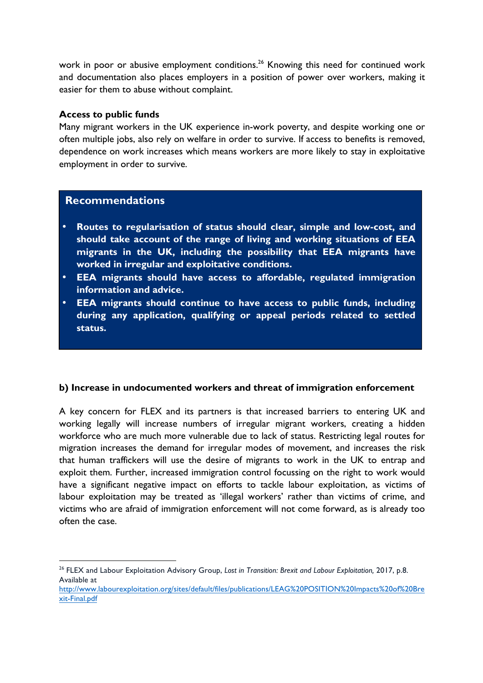work in poor or abusive employment conditions.<sup>26</sup> Knowing this need for continued work and documentation also places employers in a position of power over workers, making it easier for them to abuse without complaint.

#### **Access to public funds**

Many migrant workers in the UK experience in-work poverty, and despite working one or often multiple jobs, also rely on welfare in order to survive. If access to benefits is removed, dependence on work increases which means workers are more likely to stay in exploitative employment in order to survive.

#### **Recommendations**

- **Routes to regularisation of status should clear, simple and low-cost, and should take account of the range of living and working situations of EEA migrants in the UK, including the possibility that EEA migrants have worked in irregular and exploitative conditions.**
- **EEA migrants should have access to affordable, regulated immigration information and advice.**
- **EEA migrants should continue to have access to public funds, including during any application, qualifying or appeal periods related to settled status.**

#### **b) Increase in undocumented workers and threat of immigration enforcement**

A key concern for FLEX and its partners is that increased barriers to entering UK and working legally will increase numbers of irregular migrant workers, creating a hidden workforce who are much more vulnerable due to lack of status. Restricting legal routes for migration increases the demand for irregular modes of movement, and increases the risk that human traffickers will use the desire of migrants to work in the UK to entrap and exploit them. Further, increased immigration control focussing on the right to work would have a significant negative impact on efforts to tackle labour exploitation, as victims of labour exploitation may be treated as 'illegal workers' rather than victims of crime, and victims who are afraid of immigration enforcement will not come forward, as is already too often the case.

 <sup>26</sup> FLEX and Labour Exploitation Advisory Group, Lost in Transition: Brexit and Labour Exploitation, 2017, p.8. Available at

http://www.labourexploitation.org/sites/default/files/publications/LEAG%20POSITION%20Impacts%20of%20Bre xit-Final.pdf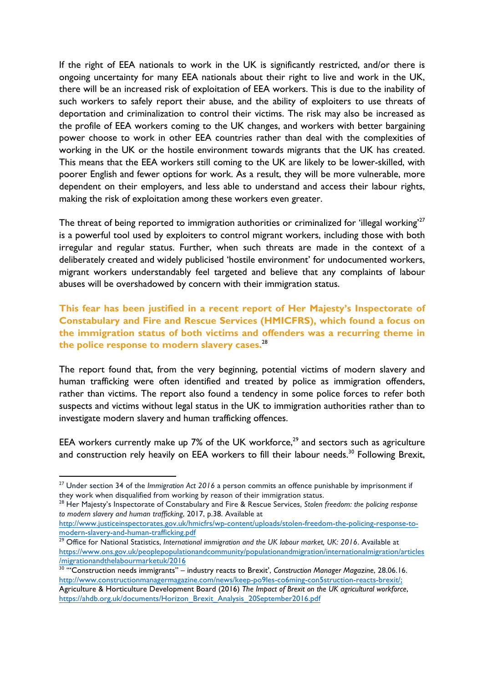If the right of EEA nationals to work in the UK is significantly restricted, and/or there is ongoing uncertainty for many EEA nationals about their right to live and work in the UK, there will be an increased risk of exploitation of EEA workers. This is due to the inability of such workers to safely report their abuse, and the ability of exploiters to use threats of deportation and criminalization to control their victims. The risk may also be increased as the profile of EEA workers coming to the UK changes, and workers with better bargaining power choose to work in other EEA countries rather than deal with the complexities of working in the UK or the hostile environment towards migrants that the UK has created. This means that the EEA workers still coming to the UK are likely to be lower-skilled, with poorer English and fewer options for work. As a result, they will be more vulnerable, more dependent on their employers, and less able to understand and access their labour rights, making the risk of exploitation among these workers even greater.

The threat of being reported to immigration authorities or criminalized for 'illegal working'<sup>27</sup> is a powerful tool used by exploiters to control migrant workers, including those with both irregular and regular status. Further, when such threats are made in the context of a deliberately created and widely publicised 'hostile environment' for undocumented workers, migrant workers understandably feel targeted and believe that any complaints of labour abuses will be overshadowed by concern with their immigration status.

**This fear has been justified in a recent report of Her Majesty's Inspectorate of Constabulary and Fire and Rescue Services (HMICFRS), which found a focus on the immigration status of both victims and offenders was a recurring theme in the police response to modern slavery cases.**<sup>28</sup>

The report found that, from the very beginning, potential victims of modern slavery and human trafficking were often identified and treated by police as immigration offenders, rather than victims. The report also found a tendency in some police forces to refer both suspects and victims without legal status in the UK to immigration authorities rather than to investigate modern slavery and human trafficking offences.

EEA workers currently make up 7% of the UK workforce, $^{29}$  and sectors such as agriculture and construction rely heavily on EEA workers to fill their labour needs.<sup>30</sup> Following Brexit,

<sup>27</sup> Under section 34 of the *Immigration Act 2016* a person commits an offence punishable by imprisonment if they work when disqualified from working by reason of their immigration status.

<sup>28</sup> Her Majesty's Inspectorate of Constabulary and Fire & Rescue Services, *Stolen freedom: the policing response to modern slavery and human trafficking*, 2017, p.38. Available at

http://www.justiceinspectorates.gov.uk/hmicfrs/wp-content/uploads/stolen-freedom-the-policing-response-tomodern-slavery-and-human-trafficking.pdf

<sup>&</sup>lt;sup>29</sup> Office for National Statistics, International immigration and the UK labour market, UK: 2016. Available at https://www.ons.gov.uk/peoplepopulationandcommunity/populationandmigration/internationalmigration/articles /migrationandthelabourmarketuk/2016

<sup>&</sup>lt;sup>30</sup> "Construction needs immigrants" – industry reacts to Brexit', Construction Manager Magazine, 28.06.16. http://www.constructionmanagermagazine.com/news/keep-po9les-co6ming-con5struction-reacts-brexit/; Agriculture & Horticulture Development Board (2016) *The Impact of Brexit on the UK agricultural workforce*, https://ahdb.org.uk/documents/Horizon\_Brexit\_Analysis\_20September2016.pdf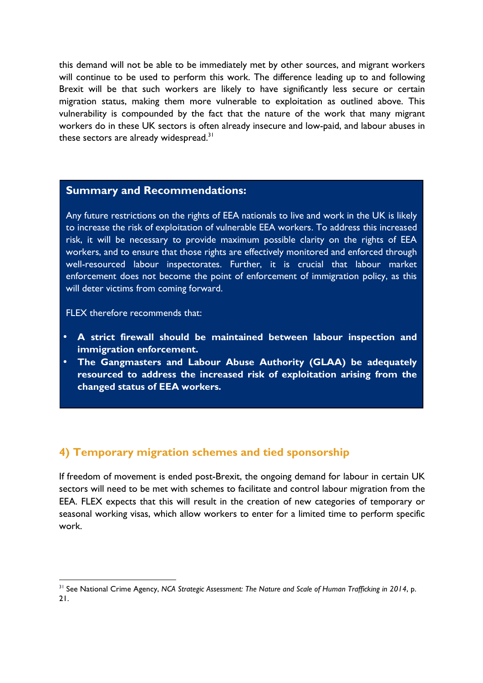this demand will not be able to be immediately met by other sources, and migrant workers will continue to be used to perform this work. The difference leading up to and following Brexit will be that such workers are likely to have significantly less secure or certain migration status, making them more vulnerable to exploitation as outlined above. This vulnerability is compounded by the fact that the nature of the work that many migrant workers do in these UK sectors is often already insecure and low-paid, and labour abuses in these sectors are already widespread.<sup>31</sup>

#### **Summary and Recommendations:**

Any future restrictions on the rights of EEA nationals to live and work in the UK is likely to increase the risk of exploitation of vulnerable EEA workers. To address this increased risk, it will be necessary to provide maximum possible clarity on the rights of EEA workers, and to ensure that those rights are effectively monitored and enforced through well-resourced labour inspectorates. Further, it is crucial that labour market enforcement does not become the point of enforcement of immigration policy, as this will deter victims from coming forward.

FLEX therefore recommends that:

 

- **A strict firewall should be maintained between labour inspection and immigration enforcement.**
- **The Gangmasters and Labour Abuse Authority (GLAA) be adequately resourced to address the increased risk of exploitation arising from the changed status of EEA workers.**

## **4) Temporary migration schemes and tied sponsorship**

If freedom of movement is ended post-Brexit, the ongoing demand for labour in certain UK sectors will need to be met with schemes to facilitate and control labour migration from the EEA. FLEX expects that this will result in the creation of new categories of temporary or seasonal working visas, which allow workers to enter for a limited time to perform specific work.

<sup>&</sup>lt;sup>31</sup> See National Crime Agency, *NCA Strategic Assessment: The Nature and Scale of Human Trafficking in 2014*, p. 21.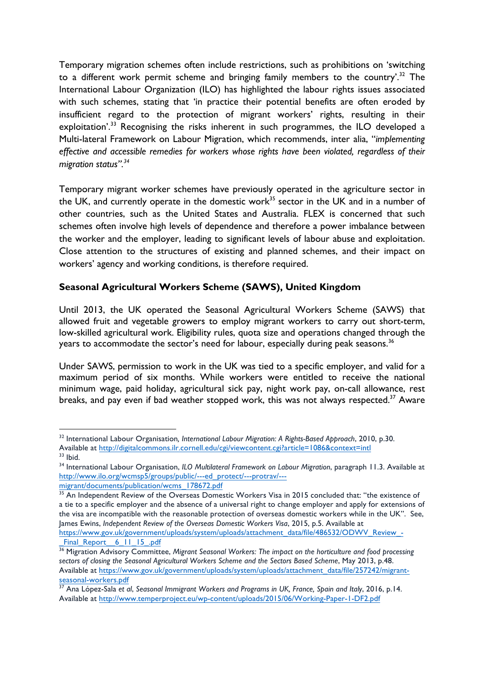Temporary migration schemes often include restrictions, such as prohibitions on 'switching to a different work permit scheme and bringing family members to the country'.<sup>32</sup> The International Labour Organization (ILO) has highlighted the labour rights issues associated with such schemes, stating that 'in practice their potential benefits are often eroded by insufficient regard to the protection of migrant workers' rights, resulting in their exploitation<sup>', 33</sup> Recognising the risks inherent in such programmes, the ILO developed a Multi-lateral Framework on Labour Migration, which recommends, inter alia, "*implementing effective and accessible remedies for workers whose rights have been violated, regardless of their migration status".34*

Temporary migrant worker schemes have previously operated in the agriculture sector in the UK, and currently operate in the domestic work<sup>35</sup> sector in the UK and in a number of other countries, such as the United States and Australia. FLEX is concerned that such schemes often involve high levels of dependence and therefore a power imbalance between the worker and the employer, leading to significant levels of labour abuse and exploitation. Close attention to the structures of existing and planned schemes, and their impact on workers' agency and working conditions, is therefore required.

## **Seasonal Agricultural Workers Scheme (SAWS), United Kingdom**

Until 2013, the UK operated the Seasonal Agricultural Workers Scheme (SAWS) that allowed fruit and vegetable growers to employ migrant workers to carry out short-term, low-skilled agricultural work. Eligibility rules, quota size and operations changed through the years to accommodate the sector's need for labour, especially during peak seasons.<sup>36</sup>

Under SAWS, permission to work in the UK was tied to a specific employer, and valid for a maximum period of six months. While workers were entitled to receive the national minimum wage, paid holiday, agricultural sick pay, night work pay, on-call allowance, rest breaks, and pay even if bad weather stopped work, this was not always respected.<sup>37</sup> Aware

<sup>32</sup> International Labour Organisation*, International Labour Migration: A Rights-Based Approach*, 2010, p.30. Available at http://digitalcommons.ilr.cornell.edu/cgi/viewcontent.cgi?article=1086&context=intl  $33$  Ibid.

<sup>34</sup> International Labour Organisation, *ILO Multilateral Framework on Labour Migration*, paragraph 11.3. Available at http://www.ilo.org/wcmsp5/groups/public/---ed\_protect/---protrav/---

migrant/documents/publication/wcms\_178672.pdf

<sup>&</sup>lt;sup>35</sup> An Independent Review of the Overseas Domestic Workers Visa in 2015 concluded that: "the existence of a tie to a specific employer and the absence of a universal right to change employer and apply for extensions of the visa are incompatible with the reasonable protection of overseas domestic workers while in the UK". See, James Ewins, *Independent Review of the Overseas Domestic Workers Visa*, 2015, p.5. Available at https://www.gov.uk/government/uploads/system/uploads/attachment\_data/file/486532/ODWV\_Review\_-Final Report 6 11 15 .pdf

<sup>36</sup> Migration Advisory Committee, *Migrant Seasonal Workers: The impact on the horticulture and food processing sectors of closing the Seasonal Agricultural Workers Scheme and the Sectors Based Scheme*, May 2013, p.48. Available at https://www.gov.uk/government/uploads/system/uploads/attachment\_data/file/257242/migrantseasonal-workers.pdf

<sup>&</sup>lt;sup>37</sup> Ana López-Sala et al, Seasonal Immigrant Workers and Programs in UK, France, Spain and Italy, 2016, p.14. Available at http://www.temperproject.eu/wp-content/uploads/2015/06/Working-Paper-1-DF2.pdf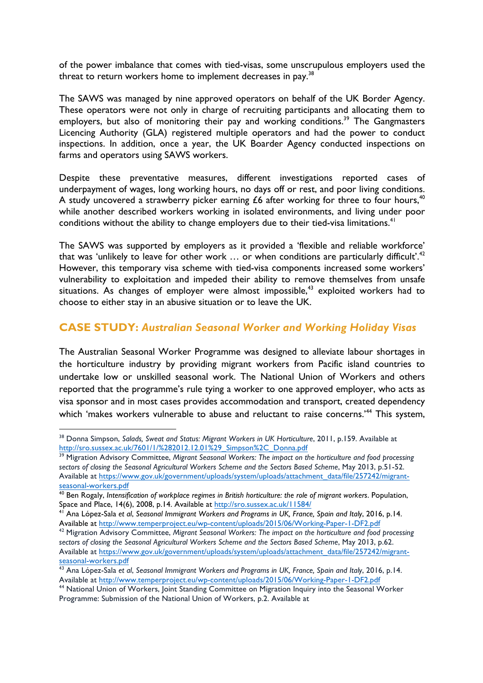of the power imbalance that comes with tied-visas, some unscrupulous employers used the threat to return workers home to implement decreases in pay.<sup>38</sup>

The SAWS was managed by nine approved operators on behalf of the UK Border Agency. These operators were not only in charge of recruiting participants and allocating them to employers, but also of monitoring their pay and working conditions.<sup>39</sup> The Gangmasters Licencing Authority (GLA) registered multiple operators and had the power to conduct inspections. In addition, once a year, the UK Boarder Agency conducted inspections on farms and operators using SAWS workers.

Despite these preventative measures, different investigations reported cases of underpayment of wages, long working hours, no days off or rest, and poor living conditions. A study uncovered a strawberry picker earning £6 after working for three to four hours,<sup>40</sup> while another described workers working in isolated environments, and living under poor conditions without the ability to change employers due to their tied-visa limitations.<sup>41</sup>

The SAWS was supported by employers as it provided a 'flexible and reliable workforce' that was 'unlikely to leave for other work ... or when conditions are particularly difficult'.<sup>42</sup> However, this temporary visa scheme with tied-visa components increased some workers' vulnerability to exploitation and impeded their ability to remove themselves from unsafe situations. As changes of employer were almost impossible,<sup>43</sup> exploited workers had to choose to either stay in an abusive situation or to leave the UK.

## **CASE STUDY:** *Australian Seasonal Worker and Working Holiday Visas*

The Australian Seasonal Worker Programme was designed to alleviate labour shortages in the horticulture industry by providing migrant workers from Pacific island countries to undertake low or unskilled seasonal work. The National Union of Workers and others reported that the programme's rule tying a worker to one approved employer, who acts as visa sponsor and in most cases provides accommodation and transport, created dependency which 'makes workers vulnerable to abuse and reluctant to raise concerns.<sup>44</sup> This system,

<sup>&</sup>lt;sup>38</sup> Donna Simpson, Salads, Sweat and Status: Migrant Workers in UK Horticulture, 2011, p.159. Available at http://sro.sussex.ac.uk/7601/1/%282012.12.01%29\_Simpson%2C\_Donna.pdf

<sup>&</sup>lt;sup>39</sup> Migration Advisory Committee, *Migrant Seasonal Workers: The impact on the horticulture and food processing sectors of closing the Seasonal Agricultural Workers Scheme and the Sectors Based Scheme*, May 2013, p.51-52. Available at https://www.gov.uk/government/uploads/system/uploads/attachment\_data/file/257242/migrantseasonal-workers.pdf

<sup>40</sup> Ben Rogaly, *Intensification of workplace regimes in British horticulture: the role of migrant workers*. Population, Space and Place, 14(6), 2008, p.14. Available at http://sro.sussex.ac.uk/11584/

<sup>41</sup> Ana López-Sala *et al*, *Seasonal Immigrant Workers and Programs in UK, France, Spain and Italy*, 2016, p.14. Available at http://www.temperproject.eu/wp-content/uploads/2015/06/Working-Paper-1-DF2.pdf

<sup>42</sup> Migration Advisory Committee, *Migrant Seasonal Workers: The impact on the horticulture and food processing sectors of closing the Seasonal Agricultural Workers Scheme and the Sectors Based Scheme*, May 2013, p.62. Available at https://www.gov.uk/government/uploads/system/uploads/attachment\_data/file/257242/migrantseasonal-workers.pdf

<sup>43</sup> Ana López-Sala *et al*, *Seasonal Immigrant Workers and Programs in UK, France, Spain and Italy*, 2016, p.14. Available at http://www.temperproject.eu/wp-content/uploads/2015/06/Working-Paper-1-DF2.pdf

<sup>44</sup> National Union of Workers, Joint Standing Committee on Migration Inquiry into the Seasonal Worker Programme: Submission of the National Union of Workers, p.2. Available at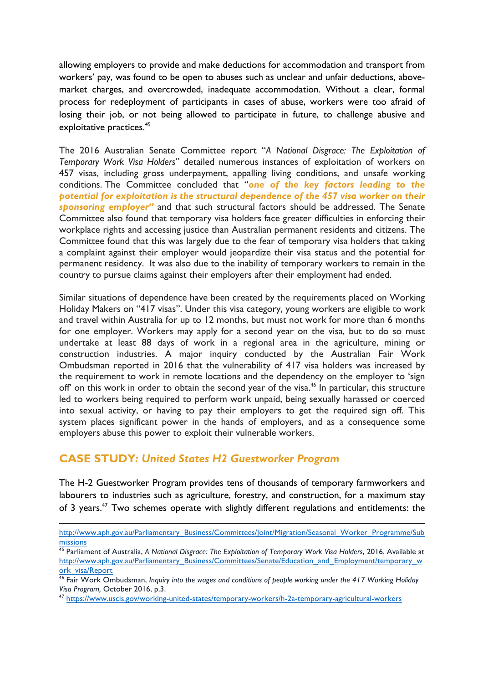allowing employers to provide and make deductions for accommodation and transport from workers' pay, was found to be open to abuses such as unclear and unfair deductions, abovemarket charges, and overcrowded, inadequate accommodation. Without a clear, formal process for redeployment of participants in cases of abuse, workers were too afraid of losing their job, or not being allowed to participate in future, to challenge abusive and exploitative practices.<sup>45</sup>

The 2016 Australian Senate Committee report "*A National Disgrace: The Exploitation of Temporary Work Visa Holders*" detailed numerous instances of exploitation of workers on 457 visas, including gross underpayment, appalling living conditions, and unsafe working conditions. The Committee concluded that "*one of the key factors leading to the potential for exploitation is the structural dependence of the 457 visa worker on their sponsoring employer"* and that such structural factors should be addressed. The Senate Committee also found that temporary visa holders face greater difficulties in enforcing their workplace rights and accessing justice than Australian permanent residents and citizens. The Committee found that this was largely due to the fear of temporary visa holders that taking a complaint against their employer would jeopardize their visa status and the potential for permanent residency. It was also due to the inability of temporary workers to remain in the country to pursue claims against their employers after their employment had ended.

Similar situations of dependence have been created by the requirements placed on Working Holiday Makers on "417 visas". Under this visa category, young workers are eligible to work and travel within Australia for up to 12 months, but must not work for more than 6 months for one employer. Workers may apply for a second year on the visa, but to do so must undertake at least 88 days of work in a regional area in the agriculture, mining or construction industries. A major inquiry conducted by the Australian Fair Work Ombudsman reported in 2016 that the vulnerability of 417 visa holders was increased by the requirement to work in remote locations and the dependency on the employer to 'sign off' on this work in order to obtain the second year of the visa.<sup>46</sup> In particular, this structure led to workers being required to perform work unpaid, being sexually harassed or coerced into sexual activity, or having to pay their employers to get the required sign off. This system places significant power in the hands of employers, and as a consequence some employers abuse this power to exploit their vulnerable workers.

## **CASE STUDY***: United States H2 Guestworker Program*

The H-2 Guestworker Program provides tens of thousands of temporary farmworkers and labourers to industries such as agriculture, forestry, and construction, for a maximum stay of 3 years.<sup>47</sup> Two schemes operate with slightly different regulations and entitlements: the

<sup>&</sup>lt;u> 1989 - Jan Sarajević, politički predsjednik i politički politički politički politički politički politički po</u> http://www.aph.gov.au/Parliamentary\_Business/Committees/Joint/Migration/Seasonal\_Worker\_Programme/Sub missions

<sup>45</sup> Parliament of Australia, *A National Disgrace: The Exploitation of Temporary Work Visa Holders*, 2016*.* Available at http://www.aph.gov.au/Parliamentary\_Business/Committees/Senate/Education\_and\_Employment/temporary\_w ork\_visa/Report

<sup>46</sup> Fair Work Ombudsman, *Inquiry into the wages and conditions of people working under the 417 Working Holiday Visa Program,* October 2016, p.3. 47 https://www.uscis.gov/working-united-states/temporary-workers/h-2a-temporary-agricultural-workers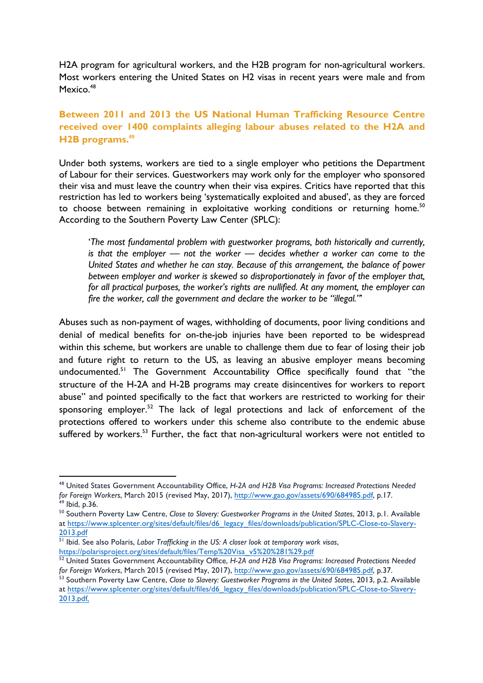H2A program for agricultural workers, and the H2B program for non-agricultural workers. Most workers entering the United States on H2 visas in recent years were male and from Mexico.<sup>48</sup>

## **Between 2011 and 2013 the US National Human Trafficking Resource Centre received over 1400 complaints alleging labour abuses related to the H2A and H2B programs.<sup>49</sup>**

Under both systems, workers are tied to a single employer who petitions the Department of Labour for their services. Guestworkers may work only for the employer who sponsored their visa and must leave the country when their visa expires. Critics have reported that this restriction has led to workers being 'systematically exploited and abused', as they are forced to choose between remaining in exploitative working conditions or returning home.<sup>50</sup> According to the Southern Poverty Law Center (SPLC):

'*The most fundamental problem with guestworker programs, both historically and currently, is that the employer — not the worker — decides whether a worker can come to the United States and whether he can stay. Because of this arrangement, the balance of power between employer and worker is skewed so disproportionately in favor of the employer that, for all practical purposes, the worker's rights are nullified. At any moment, the employer can fire the worker, call the government and declare the worker to be "illegal."*'

Abuses such as non-payment of wages, withholding of documents, poor living conditions and denial of medical benefits for on-the-job injuries have been reported to be widespread within this scheme, but workers are unable to challenge them due to fear of losing their job and future right to return to the US, as leaving an abusive employer means becoming undocumented.<sup>51</sup> The Government Accountability Office specifically found that "the structure of the H-2A and H-2B programs may create disincentives for workers to report abuse" and pointed specifically to the fact that workers are restricted to working for their sponsoring employer.<sup>52</sup> The lack of legal protections and lack of enforcement of the protections offered to workers under this scheme also contribute to the endemic abuse suffered by workers.<sup>53</sup> Further, the fact that non-agricultural workers were not entitled to

<sup>48</sup> United States Government Accountability Office, *H-2A and H2B Visa Programs: Increased Protections Needed*  for Foreign Workers, March 2015 (revised May, 2017), <u>http://www.gao.gov/assets/690/684985.pdf</u>, p.17.<br><sup>49</sup> Ibid, p.36.<br><sup>50</sup> Southern Poverty Law Centre, *Close to Slavery: Guestworker Programs in the United States*, 2013,

at https://www.splcenter.org/sites/default/files/d6\_legacy\_files/downloads/publication/SPLC-Close-to-Slavery-2013.pdf

<sup>51</sup> Ibid. See also Polaris, *Labor Trafficking in the US: A closer look at temporary work visas*, https://polarisproject.org/sites/default/files/Temp%20Visa\_v5%20%281%29.pdf

<sup>52</sup> United States Government Accountability Office, *H-2A and H2B Visa Programs: Increased Protections Needed for Foreign Workers*, March 2015 (revised May, 2017), http://www.gao.gov/assets/690/684985.pdf, p.37.

<sup>53</sup> Southern Poverty Law Centre, *Close to Slavery: Guestworker Programs in the United States*, 2013, p.2. Available at https://www.splcenter.org/sites/default/files/d6\_legacy\_files/downloads/publication/SPLC-Close-to-Slavery-2013.pdf,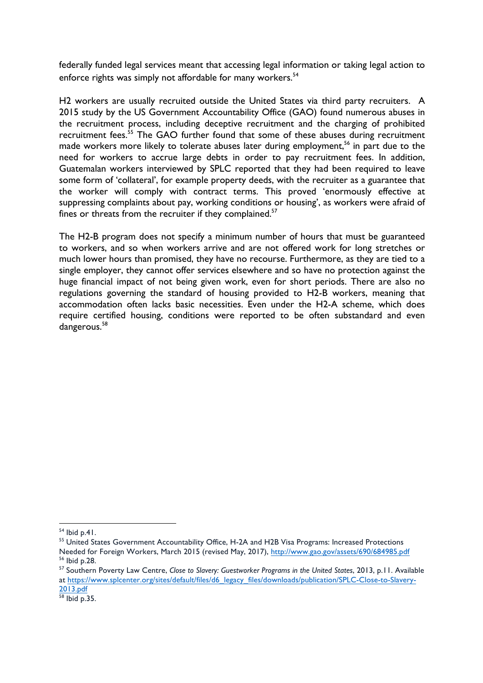federally funded legal services meant that accessing legal information or taking legal action to enforce rights was simply not affordable for many workers.<sup>54</sup>

H2 workers are usually recruited outside the United States via third party recruiters. A 2015 study by the US Government Accountability Office (GAO) found numerous abuses in the recruitment process, including deceptive recruitment and the charging of prohibited recruitment fees.<sup>55</sup> The GAO further found that some of these abuses during recruitment made workers more likely to tolerate abuses later during employment,<sup>56</sup> in part due to the need for workers to accrue large debts in order to pay recruitment fees. In addition, Guatemalan workers interviewed by SPLC reported that they had been required to leave some form of 'collateral', for example property deeds, with the recruiter as a guarantee that the worker will comply with contract terms. This proved 'enormously effective at suppressing complaints about pay, working conditions or housing', as workers were afraid of fines or threats from the recruiter if they complained.<sup>57</sup>

The H2-B program does not specify a minimum number of hours that must be guaranteed to workers, and so when workers arrive and are not offered work for long stretches or much lower hours than promised, they have no recourse. Furthermore, as they are tied to a single employer, they cannot offer services elsewhere and so have no protection against the huge financial impact of not being given work, even for short periods. There are also no regulations governing the standard of housing provided to H2-B workers, meaning that accommodation often lacks basic necessities. Even under the H2-A scheme, which does require certified housing, conditions were reported to be often substandard and even dangerous.<sup>58</sup>

 $54$  Ibid p.41.

<sup>&</sup>lt;sup>55</sup> United States Government Accountability Office, H-2A and H2B Visa Programs: Increased Protections Needed for Foreign Workers, March 2015 (revised May, 2017), http://www.gao.gov/assets/690/684985.pdf <sup>56</sup> Ibid p.28.

<sup>57</sup> Southern Poverty Law Centre, *Close to Slavery: Guestworker Programs in the United States*, 2013, p.11. Available at https://www.splcenter.org/sites/default/files/d6\_legacy\_files/downloads/publication/SPLC-Close-to-Slavery-2013.pdf

<sup>58</sup> Ibid p.35.